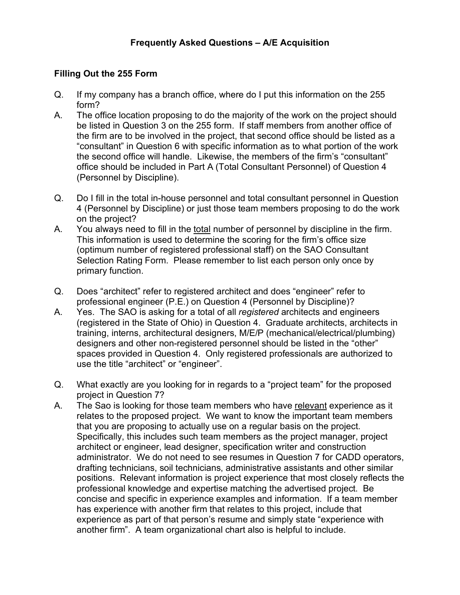## **Filling Out the 255 Form**

- Q. If my company has a branch office, where do I put this information on the 255 form?
- A. The office location proposing to do the majority of the work on the project should be listed in Question 3 on the 255 form. If staff members from another office of the firm are to be involved in the project, that second office should be listed as a "consultant" in Question 6 with specific information as to what portion of the work the second office will handle. Likewise, the members of the firm's "consultant" office should be included in Part A (Total Consultant Personnel) of Question 4 (Personnel by Discipline).
- Q. Do I fill in the total in-house personnel and total consultant personnel in Question 4 (Personnel by Discipline) or just those team members proposing to do the work on the project?
- A. You always need to fill in the total number of personnel by discipline in the firm. This information is used to determine the scoring for the firm's office size (optimum number of registered professional staff) on the SAO Consultant Selection Rating Form. Please remember to list each person only once by primary function.
- Q. Does "architect" refer to registered architect and does "engineer" refer to professional engineer (P.E.) on Question 4 (Personnel by Discipline)?
- A. Yes. The SAO is asking for a total of all *registered* architects and engineers (registered in the State of Ohio) in Question 4. Graduate architects, architects in training, interns, architectural designers, M/E/P (mechanical/electrical/plumbing) designers and other non-registered personnel should be listed in the "other" spaces provided in Question 4. Only registered professionals are authorized to use the title "architect" or "engineer".
- Q. What exactly are you looking for in regards to a "project team" for the proposed project in Question 7?
- A. The Sao is looking for those team members who have relevant experience as it relates to the proposed project. We want to know the important team members that you are proposing to actually use on a regular basis on the project. Specifically, this includes such team members as the project manager, project architect or engineer, lead designer, specification writer and construction administrator. We do not need to see resumes in Question 7 for CADD operators, drafting technicians, soil technicians, administrative assistants and other similar positions. Relevant information is project experience that most closely reflects the professional knowledge and expertise matching the advertised project. Be concise and specific in experience examples and information. If a team member has experience with another firm that relates to this project, include that experience as part of that person's resume and simply state "experience with another firm". A team organizational chart also is helpful to include.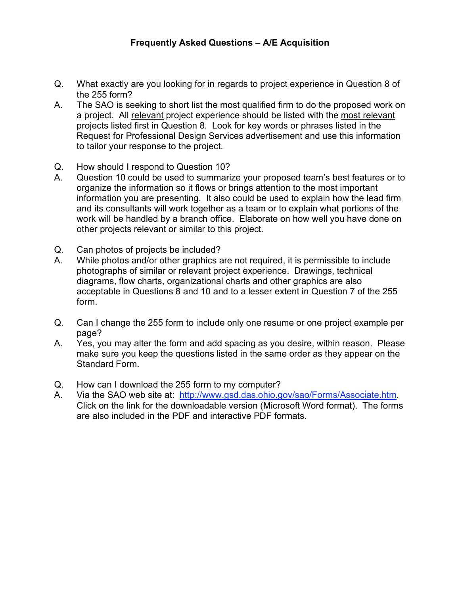- Q. What exactly are you looking for in regards to project experience in Question 8 of the 255 form?
- A. The SAO is seeking to short list the most qualified firm to do the proposed work on a project. All relevant project experience should be listed with the most relevant projects listed first in Question 8. Look for key words or phrases listed in the Request for Professional Design Services advertisement and use this information to tailor your response to the project.
- Q. How should I respond to Question 10?
- A. Question 10 could be used to summarize your proposed team's best features or to organize the information so it flows or brings attention to the most important information you are presenting. It also could be used to explain how the lead firm and its consultants will work together as a team or to explain what portions of the work will be handled by a branch office. Elaborate on how well you have done on other projects relevant or similar to this project.
- Q. Can photos of projects be included?
- A. While photos and/or other graphics are not required, it is permissible to include photographs of similar or relevant project experience. Drawings, technical diagrams, flow charts, organizational charts and other graphics are also acceptable in Questions 8 and 10 and to a lesser extent in Question 7 of the 255 form.
- Q. Can I change the 255 form to include only one resume or one project example per page?
- A. Yes, you may alter the form and add spacing as you desire, within reason. Please make sure you keep the questions listed in the same order as they appear on the Standard Form.
- Q. How can I download the 255 form to my computer?
- A. Via the SAO web site at: http://www.gsd.das.ohio.gov/sao/Forms/Associate.htm. Click on the link for the downloadable version (Microsoft Word format). The forms are also included in the PDF and interactive PDF formats.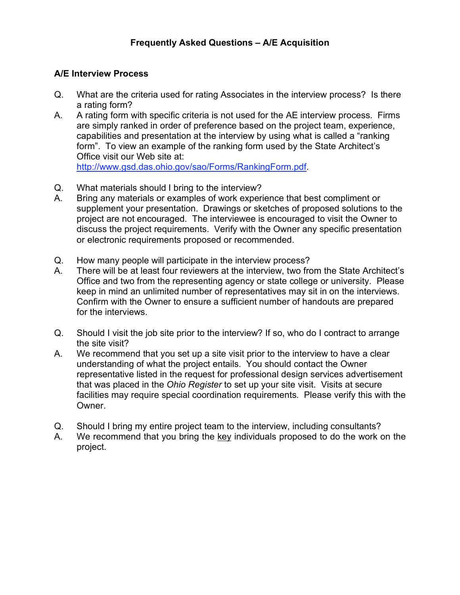## **A/E Interview Process**

- Q. What are the criteria used for rating Associates in the interview process? Is there a rating form?
- A. A rating form with specific criteria is not used for the AE interview process. Firms are simply ranked in order of preference based on the project team, experience, capabilities and presentation at the interview by using what is called a "ranking form". To view an example of the ranking form used by the State Architect's Office visit our Web site at: http://www.gsd.das.ohio.gov/sao/Forms/RankingForm.pdf.
- Q. What materials should I bring to the interview?
- A. Bring any materials or examples of work experience that best compliment or supplement your presentation. Drawings or sketches of proposed solutions to the project are not encouraged. The interviewee is encouraged to visit the Owner to discuss the project requirements. Verify with the Owner any specific presentation or electronic requirements proposed or recommended.
- Q. How many people will participate in the interview process?
- A. There will be at least four reviewers at the interview, two from the State Architect's Office and two from the representing agency or state college or university. Please keep in mind an unlimited number of representatives may sit in on the interviews. Confirm with the Owner to ensure a sufficient number of handouts are prepared for the interviews.
- Q. Should I visit the job site prior to the interview? If so, who do I contract to arrange the site visit?
- A. We recommend that you set up a site visit prior to the interview to have a clear understanding of what the project entails. You should contact the Owner representative listed in the request for professional design services advertisement that was placed in the *Ohio Register* to set up your site visit. Visits at secure facilities may require special coordination requirements. Please verify this with the Owner.
- Q. Should I bring my entire project team to the interview, including consultants?
- A. We recommend that you bring the key individuals proposed to do the work on the project.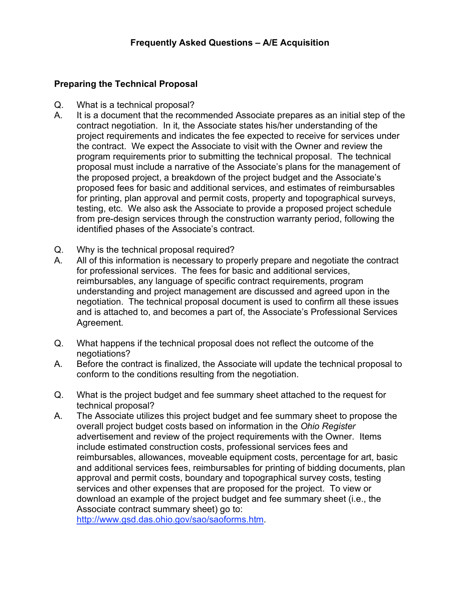## **Preparing the Technical Proposal**

- Q. What is a technical proposal?
- A. It is a document that the recommended Associate prepares as an initial step of the contract negotiation. In it, the Associate states his/her understanding of the project requirements and indicates the fee expected to receive for services under the contract. We expect the Associate to visit with the Owner and review the program requirements prior to submitting the technical proposal. The technical proposal must include a narrative of the Associate's plans for the management of the proposed project, a breakdown of the project budget and the Associate's proposed fees for basic and additional services, and estimates of reimbursables for printing, plan approval and permit costs, property and topographical surveys, testing, etc. We also ask the Associate to provide a proposed project schedule from pre-design services through the construction warranty period, following the identified phases of the Associate's contract.
- Q. Why is the technical proposal required?
- A. All of this information is necessary to properly prepare and negotiate the contract for professional services. The fees for basic and additional services, reimbursables, any language of specific contract requirements, program understanding and project management are discussed and agreed upon in the negotiation. The technical proposal document is used to confirm all these issues and is attached to, and becomes a part of, the Associate's Professional Services Agreement.
- Q. What happens if the technical proposal does not reflect the outcome of the negotiations?
- A. Before the contract is finalized, the Associate will update the technical proposal to conform to the conditions resulting from the negotiation.
- Q. What is the project budget and fee summary sheet attached to the request for technical proposal?
- A. The Associate utilizes this project budget and fee summary sheet to propose the overall project budget costs based on information in the *Ohio Register* advertisement and review of the project requirements with the Owner. Items include estimated construction costs, professional services fees and reimbursables, allowances, moveable equipment costs, percentage for art, basic and additional services fees, reimbursables for printing of bidding documents, plan approval and permit costs, boundary and topographical survey costs, testing services and other expenses that are proposed for the project. To view or download an example of the project budget and fee summary sheet (i.e., the Associate contract summary sheet) go to:

http://www.gsd.das.ohio.gov/sao/saoforms.htm.